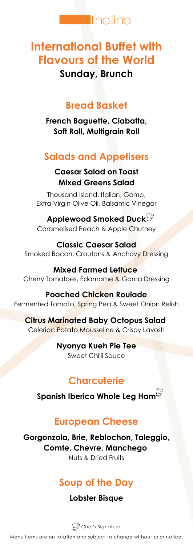

# **International Buffet with Flavours of the World**

## **Sunday, Brunch**

### **Bread Basket**

**French Baguette, Ciabatta, Soft Roll, Multigrain Roll**

# **Salads and Appetisers**

#### **Caesar Salad on Toast Mixed Greens Salad**

Thousand Island, Italian, Goma, Extra Virgin Olive Oil, Balsamic Vinegar

**Applewood Smoked Duck** Caramelised Peach & Apple Chutney

**Classic Caesar Salad** Smoked Bacon, Croutons & Anchovy Dressing

**Mixed Farmed Lettuce** Cherry Tomatoes, Edamame & Goma Dressing

**Poached Chicken Roulade** Fermented Tomato, Spring Pea & Sweet Onion Relish

**Citrus Marinated Baby Octopus Salad** Celeriac Potato Mousseline & Crispy Lavosh

> **Nyonya Kueh Pie Tee** Sweet Chilli Sauce

## **Charcuterie**

**Spanish Iberico Whole Leg Ham**

## **European Cheese**

**Gorgonzola, Brie, Reblochon, Taleggio, Comte, Chevre, Manchego** Nuts & Dried Fruits

# **Soup of the Day**

#### **Lobster Bisque**

 $\mathbb{Z}$  Chef's Signature

Menu items are on rotation and subject to change without prior notice.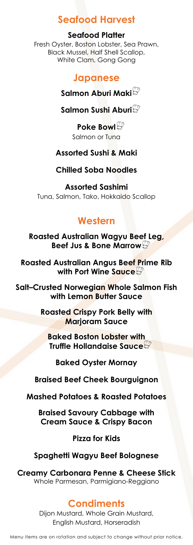### **Seafood Harvest**

#### **Seafood Platter**

Fresh Oyster, Boston Lobster, Sea Prawn, Black Mussel, Half Shell Scallop, White Clam, Gong Gong

#### **Japanese**

#### **Salmon Aburi Maki**

#### **Salmon Sushi Aburi**

**Poke Bowl** Salmon or Tuna

#### **Assorted Sushi & Maki**

#### **Chilled Soba Noodles**

**Assorted Sashimi** Tuna, Salmon, Tako, Hokkaido Scallop

#### **Western**

**Roasted Australian Wagyu Beef Leg, Beef Jus & Bone Marrow**

**Roasted Australian Angus Beef Prime Rib with Port Wine Sauce**

**Salt–Crusted Norwegian Whole Salmon Fish with Lemon Butter Sauce**

> **Roasted Crispy Pork Belly with Marjoram Sauce**

**Baked Boston Lobster with Truffle Hollandaise Sauce**

**Baked Oyster Mornay**

**Braised Beef Cheek Bourguignon**

**Mashed Potatoes & Roasted Potatoes**

**Braised Savoury Cabbage with Cream Sauce & Crispy Bacon**

**Pizza for Kids**

#### **Spaghetti Wagyu Beef Bolognese**

**Creamy Carbonara Penne & Cheese Stick** Whole Parmesan, Parmigiano-Reggiano

#### **Condiments**

Dijon Mustard, Whole Grain Mustard, English Mustard, Horseradish

Menu items are on rotation and subject to change without prior notice.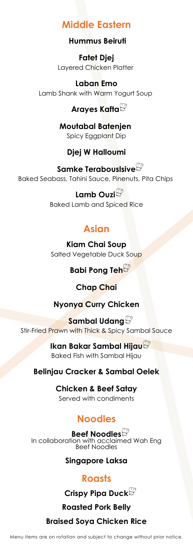### **Middle Eastern**

**Hummus Beiruti**

**Fatet Djej** Layered Chicken Platter

**Laban Emo** Lamb Shank with Warm Yogurt Soup

### **Arayes Kafta**

**Moutabal Batenjen** Spicy Eggplant Dip

#### **Djej W Halloumi**

**Samke Terabouslsive** Baked Seabass, Tahini Sauce, Pinenuts, Pita Chips

> **Lamb Ouzi** Baked Lamb and Spiced Rice

## **Asian**

**Kiam Chai Soup** Salted Vegetable Duck Soup

**Babi Pong Teh**

#### **Chap Chai**

**Nyonya Curry Chicken**

**Sambal Udang** Stir-Fried Prawn with Thick & Spicy Sambal Sauce

> **Ikan Bakar Sambal Hijau** Baked Fish with Sambal Hijau

#### **Belinjau Cracker & Sambal Oelek**

**Chicken & Beef Satay** Served with condiments

## **Noodles**

**Beef Noodles** In collaboration with acclaimed Wah Eng Beef Noodles

#### **Singapore Laksa**

### **Roasts**

**Crispy Pipa Duck**

**Roasted Pork Belly**

### **Braised Soya Chicken Rice**

Menu items are on rotation and subject to change without prior notice.